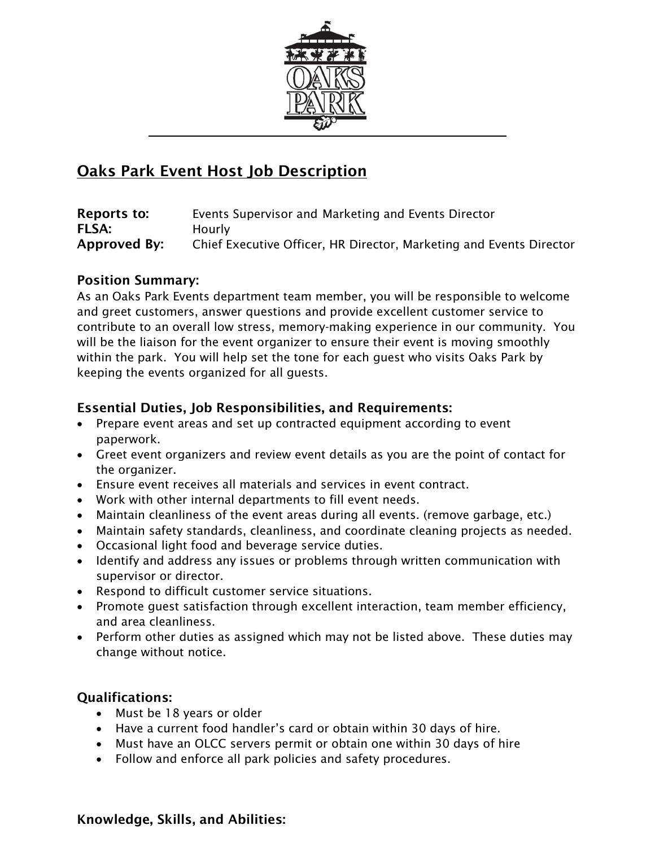

# Oaks Park Event Host Job Description

| Reports to:  | Events Supervisor and Marketing and Events Director                 |
|--------------|---------------------------------------------------------------------|
| <b>FLSA:</b> | <b>Hourly</b>                                                       |
| Approved By: | Chief Executive Officer, HR Director, Marketing and Events Director |

## Position Summary:

As an Oaks Park Events department team member, you will be responsible to welcome and greet customers, answer questions and provide excellent customer service to contribute to an overall low stress, memory-making experience in our community. You will be the liaison for the event organizer to ensure their event is moving smoothly within the park. You will help set the tone for each guest who visits Oaks Park by keeping the events organized for all guests.

# Essential Duties, Job Responsibilities, and Requirements:

- Prepare event areas and set up contracted equipment according to event paperwork.
- Greet event organizers and review event details as you are the point of contact for the organizer.
- Ensure event receives all materials and services in event contract.
- Work with other internal departments to fill event needs.
- Maintain cleanliness of the event areas during all events. (remove garbage, etc.)
- Maintain safety standards, cleanliness, and coordinate cleaning projects as needed.
- Occasional light food and beverage service duties.
- Identify and address any issues or problems through written communication with supervisor or director.
- Respond to difficult customer service situations.
- Promote guest satisfaction through excellent interaction, team member efficiency, and area cleanliness.
- Perform other duties as assigned which may not be listed above. These duties may change without notice.

# Qualifications:

- Must be 18 years or older
- Have a current food handler's card or obtain within 30 days of hire.
- Must have an OLCC servers permit or obtain one within 30 days of hire
- Follow and enforce all park policies and safety procedures.

### Knowledge, Skills, and Abilities: